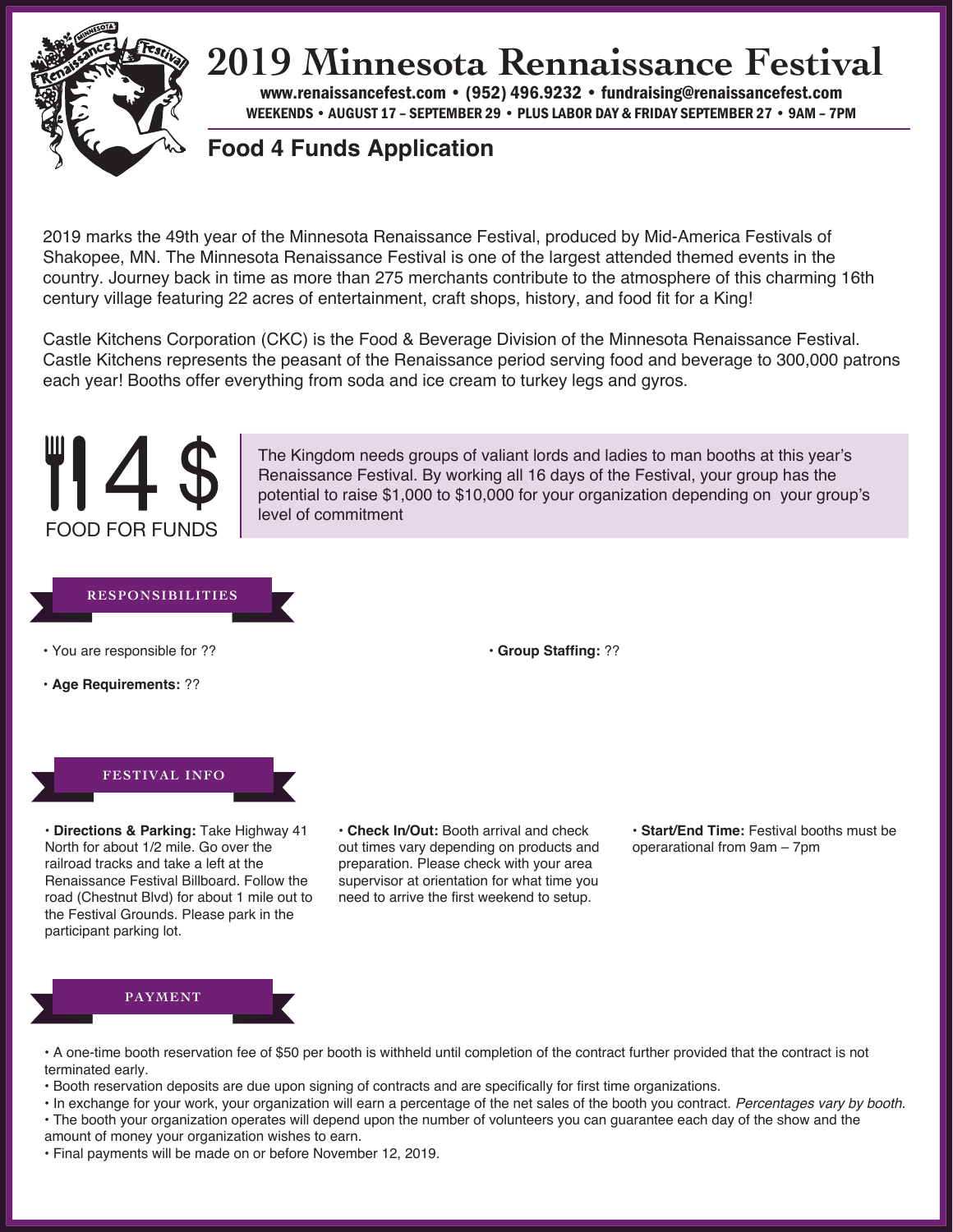

## **2019 Minnesota Rennaissance Festival**

www.renaissancefest.com • 952.698.9552 • fundraising@renaissancefest.com WEEKENDS • AUGUST 17 – SEPTEMBER 29 • PLUS LABOR DAY & FRIDAY SEPTEMBER 27 • 9AM – 7PM

### **Food 4 Funds Application**

2019 marks the 49th year of the Minnesota Renaissance Festival, produced by Mid-America Festivals of Shakopee, MN. The Minnesota Renaissance Festival is one of the largest attended themed events in the country. Journey back in time as more than 275 merchants contribute to the atmosphere of this charming 16th century village featuring 22 acres of entertainment, craft shops, history, and food fit for a King!

Castle Kitchens Corporation (CKC) is the Food & Beverage Division of the Minnesota Renaissance Festival. Castle Kitchens represents the peasant(s) of the Renaissance period serving food and beverage to 300,000 patrons each year! Booths offer everything from soda and ice cream to turkey legs and gyros.



The Kingdom needs groups of valiant lords and ladies to man booths at this year's Renaissance Festival. By working all 16 days of the Festival, your group has the potential to raise \$1,000 to \$10,000 for your organization depending on your group's level of commitment

#### **RESPONSIBILITIES**

- **•** You are responsible for ??
- **Age Requirements:** ??

**• Group Staffing:** ??



**• Directions & Parking:** Take Highway 41 North for about 1/2 mile. Go over the railroad tracks and take a left at the Renaissance Festival Billboard. Follow the road (Chestnut Blvd) for about 1 mile out to the Festival Grounds. Please park in the participant parking lot.

**• Check In/Out:** Booth arrival and check out times vary depending on products and preparation. Please check with your area supervisor at orientation for what time you need to arrive the first weekend to setup.

**• Start/End Time:** Festival booths must be operarational from 9am – 7pm



- **•** A one-time booth reservation fee of \$50 per booth is withheld until completion of the contract further provided that the contract is not terminated early.
- **•** Booth reservation deposits are due upon signing of contracts and are specifically for first time organizations.
- **•** In exchange for your work, your organization will earn a percentage of the net sales of the booth you contract. *Percentages vary by booth.*
- **•** The booth your organization operates will depend upon the number of volunteers you can guarantee each day of the show and the
- amount of money your organization wishes to earn.
- **•** Final payments will be made on or before November 12, 2019.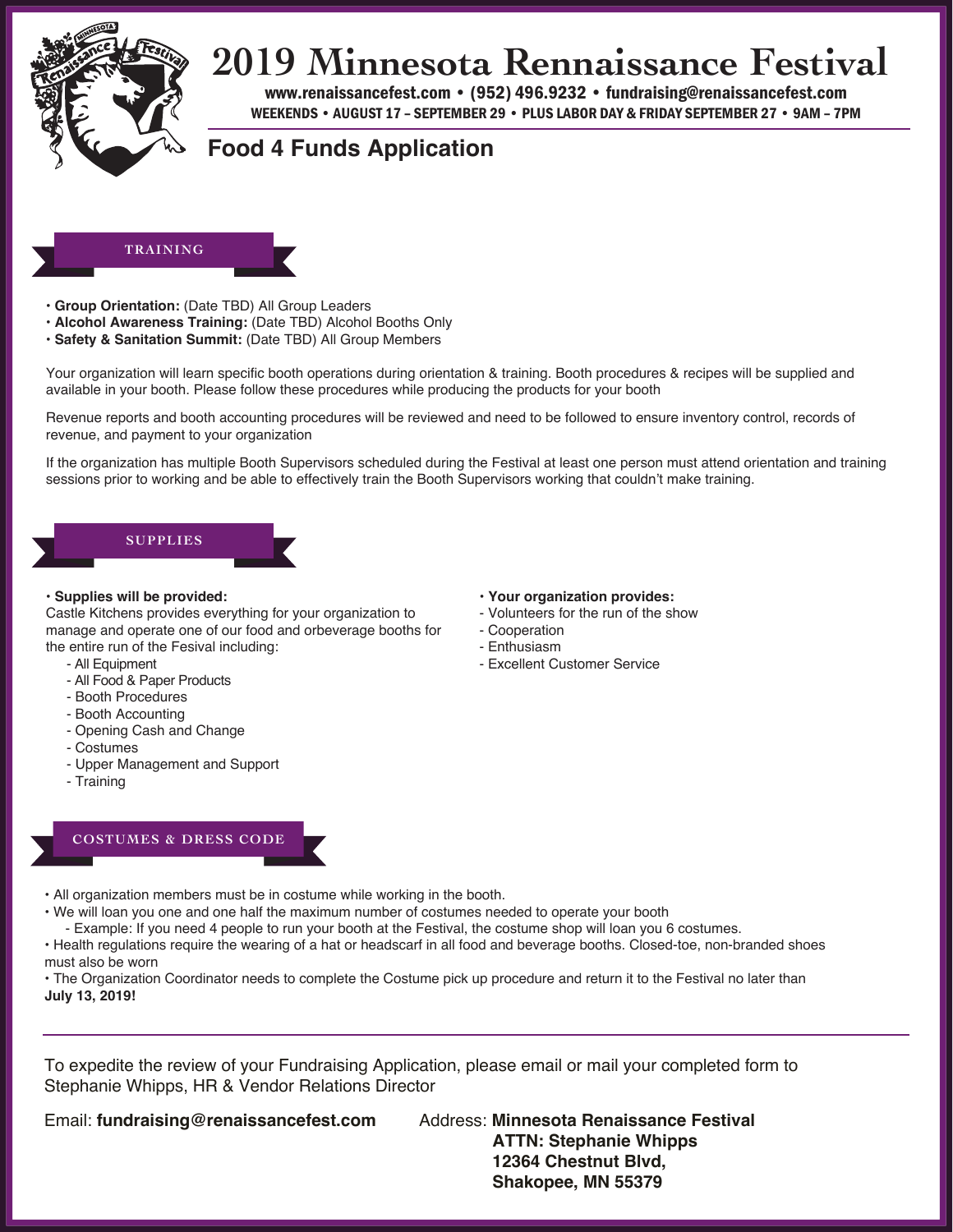

## **2019 Minnesota Rennaissance Festival**

www.renaissancefest.com • 952.698.9552 • fundraising@renaissancefest.com WEEKENDS • AUGUST 17 – SEPTEMBER 29 • PLUS LABOR DAY & FRIDAY SEPTEMBER 27 • 9AM – 7PM

### **Food 4 Funds Application**

#### **TRAINING**

- **Group Orientation:** (Date TBD) All Group Leaders
- **Alcohol Awareness Training:** (Date TBD) Alcohol Booths Only
- **Safety & Sanitation Summit:** (Date TBD) All Group Members

Your organization will learn specific booth operations during orientation & training. Booth procedures & recipes will be supplied and available in your booth. Please follow these procedures while producing the products for your booth

Revenue reports and booth accounting procedures will be reviewed and need to be followed to ensure inventory control, records of revenue, and payment to your organization

If the organization has multiple Booth Supervisors scheduled during the Festival at least one person must attend orientation and training sessions prior to working and be able to effectively train the Booth Supervisors working that couldn't make training.

## **SUPPLIES**

#### **• Supplies will be provided:**

Castle Kitchens provides everything for your organization to manage and operate one of our food and orbeverage booths for the entire run of the Fesival including:

- All Equipment
- All Food & Paper Products
- Booth Procedures
- Booth Accounting
- Opening Cash and Change
- Costumes
- Upper Management and Support
- Training
- **Your organization provides:**
- Volunteers for the run of the show
- Cooperation
- Enthusiasm
- Excellent Customer Service

### **COSTUMES & DRESS CODE**

**•** All organization members must be in costume while working in the booth.

- **•** We will loan you one and one half the maximum number of costumes needed to operate your booth
- Example: If you need 4 people to run your booth at the Festival, the costume shop will loan you 6 costumes.

**•** Health regulations require the wearing of a hat or headscarf in all food and beverage booths. Closed-toe, non-branded shoes must also be worn

**•** The Organization Coordinator needs to complete the Costume pick up procedure and return it to the Festival no later than **July 13, 2019!**

To expedite the review of your Fundraising Application, please email or mail your completed form to Stephanie Whipps, HR & Vendor Relations Director

Email: **fundraising@renaissancefest.com** Address: **Minnesota Renaissance Festival**

**ATTN: Stephanie Whipps 12364 Chestnut Blvd, Shakopee, MN 55379**